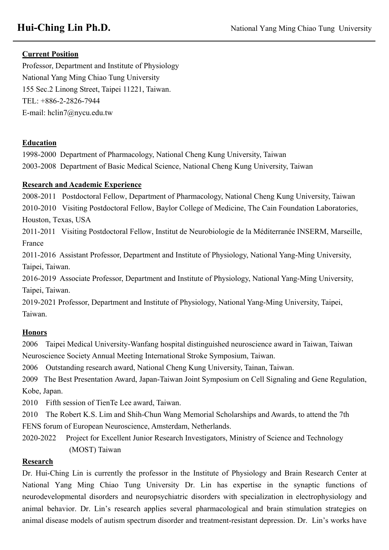# **Current Position**

Professor, Department and Institute of Physiology National Yang Ming Chiao Tung University 155 Sec.2 Linong Street, Taipei 11221, Taiwan. TEL: +886-2-2826-7944 E-mail: hclin7@nycu.edu.tw

### **Education**

1998-2000 Department of Pharmacology, National Cheng Kung University, Taiwan 2003-2008 Department of Basic Medical Science, National Cheng Kung University, Taiwan

### **Research and Academic Experience**

2008-2011 Postdoctoral Fellow, Department of Pharmacology, National Cheng Kung University, Taiwan 2010-2010 Visiting Postdoctoral Fellow, Baylor College of Medicine, The Cain Foundation Laboratories, Houston, Texas, USA

2011-2011 Visiting Postdoctoral Fellow, Institut de Neurobiologie de la Méditerranée INSERM, Marseille, France

2011-2016 Assistant Professor, Department and Institute of Physiology, National Yang-Ming University, Taipei, Taiwan.

2016-2019 Associate Professor, Department and Institute of Physiology, National Yang-Ming University, Taipei, Taiwan.

2019-2021 Professor, Department and Institute of Physiology, National Yang-Ming University, Taipei, Taiwan.

# **Honors**

2006 Taipei Medical University-Wanfang hospital distinguished neuroscience award in Taiwan, Taiwan Neuroscience Society Annual Meeting International Stroke Symposium, Taiwan.

2006 Outstanding research award, National Cheng Kung University, Tainan, Taiwan.

2009 The Best Presentation Award, Japan-Taiwan Joint Symposium on Cell Signaling and Gene Regulation, Kobe, Japan.

2010 Fifth session of TienTe Lee award, Taiwan.

2010 The Robert K.S. Lim and Shih-Chun Wang Memorial Scholarships and Awards, to attend the 7th FENS forum of European Neuroscience, Amsterdam, Netherlands.

2020-2022 Project for Excellent Junior Research Investigators, Ministry of Science and Technology (MOST) Taiwan

# **Research**

Dr. Hui-Ching Lin is currently the professor in the Institute of Physiology and Brain Research Center at National Yang Ming Chiao Tung University Dr. Lin has expertise in the synaptic functions of neurodevelopmental disorders and neuropsychiatric disorders with specialization in electrophysiology and animal behavior. Dr. Lin's research applies several pharmacological and brain stimulation strategies on animal disease models of autism spectrum disorder and treatment-resistant depression. Dr. Lin's works have